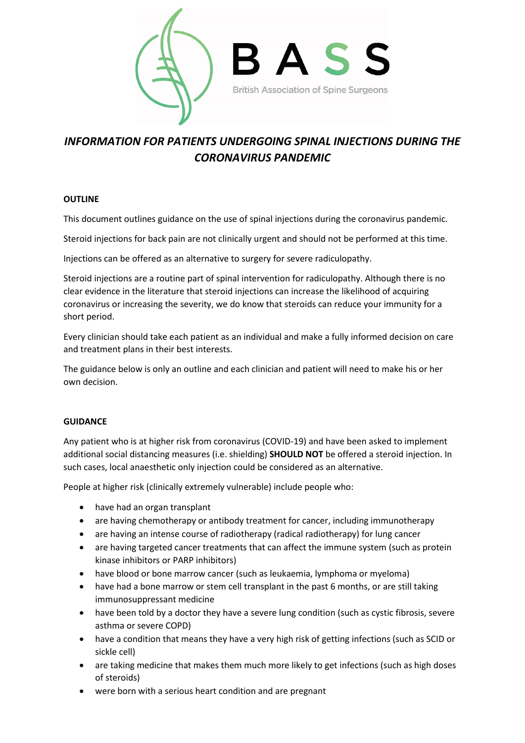

## *INFORMATION FOR PATIENTS UNDERGOING SPINAL INJECTIONS DURING THE CORONAVIRUS PANDEMIC*

## **OUTLINE**

This document outlines guidance on the use of spinal injections during the coronavirus pandemic.

Steroid injections for back pain are not clinically urgent and should not be performed at this time.

Injections can be offered as an alternative to surgery for severe radiculopathy.

Steroid injections are a routine part of spinal intervention for radiculopathy. Although there is no clear evidence in the literature that steroid injections can increase the likelihood of acquiring coronavirus or increasing the severity, we do know that steroids can reduce your immunity for a short period.

Every clinician should take each patient as an individual and make a fully informed decision on care and treatment plans in their best interests.

The guidance below is only an outline and each clinician and patient will need to make his or her own decision.

## **GUIDANCE**

Any patient who is at higher risk from coronavirus (COVID-19) and have been asked to implement additional social distancing measures (i.e. shielding) **SHOULD NOT** be offered a steroid injection. In such cases, local anaesthetic only injection could be considered as an alternative.

People at higher risk (clinically extremely vulnerable) include people who:

- have had an organ transplant
- are having chemotherapy or antibody treatment for cancer, including immunotherapy
- are having an intense course of radiotherapy (radical radiotherapy) for lung cancer
- are having targeted cancer treatments that can affect the immune system (such as protein kinase inhibitors or PARP inhibitors)
- have blood or bone marrow cancer (such as leukaemia, lymphoma or myeloma)
- have had a bone marrow or stem cell transplant in the past 6 months, or are still taking immunosuppressant medicine
- have been told by a doctor they have a severe lung condition (such as cystic fibrosis, severe asthma or severe COPD)
- have a condition that means they have a very high risk of getting infections (such as SCID or sickle cell)
- are taking medicine that makes them much more likely to get infections (such as high doses of steroids)
- were born with a serious heart condition and are pregnant